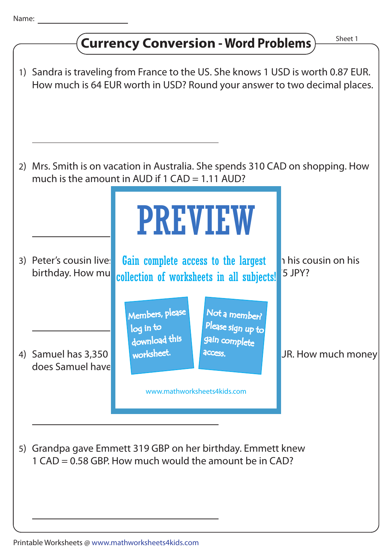